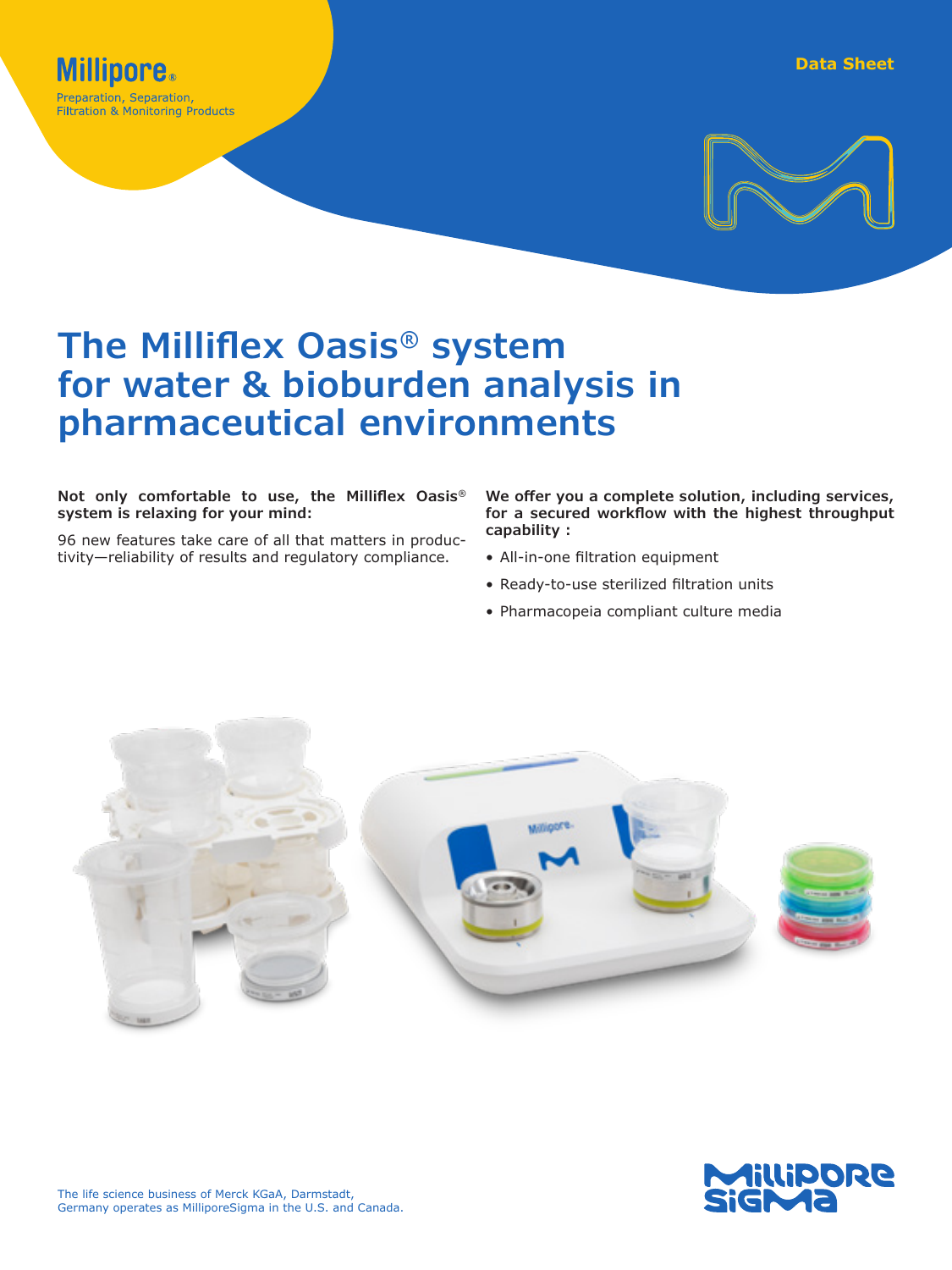



# **The Milliflex Oasis® system for water & bioburden analysis in pharmaceutical environments**

#### **Not only comfortable to use, the Milliflex Oasis® system is relaxing for your mind:**

96 new features take care of all that matters in productivity—reliability of results and regulatory compliance.

**We offer you a complete solution, including services, for a secured workflow with the highest throughput capability :**

- All-in-one filtration equipment
- Ready-to-use sterilized filtration units
- Pharmacopeia compliant culture media



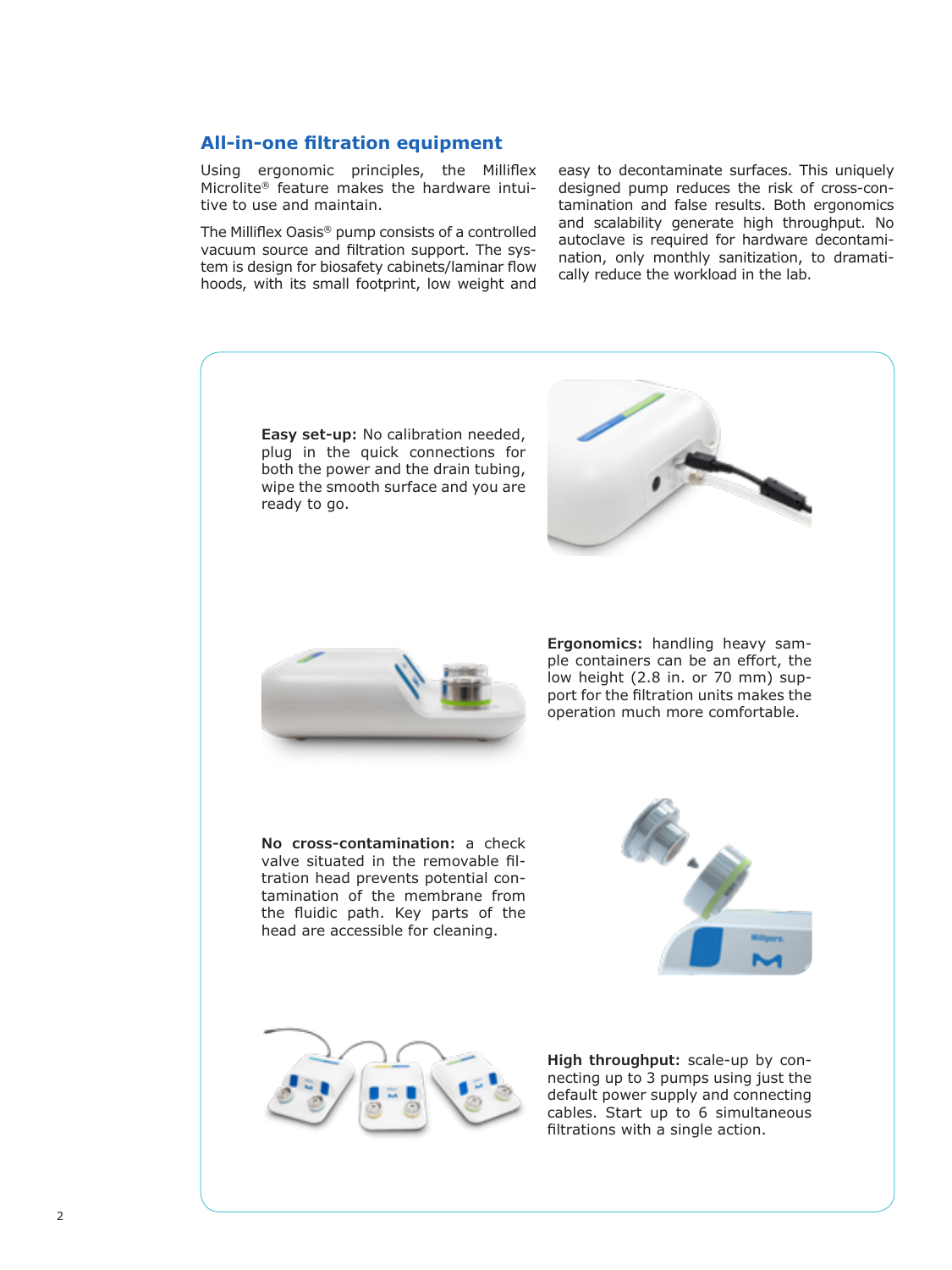# **All-in-one filtration equipment**

Using ergonomic principles, the Milliflex Microlite® feature makes the hardware intuitive to use and maintain.

The Milliflex Oasis® pump consists of a controlled vacuum source and filtration support. The system is design for biosafety cabinets/laminar flow hoods, with its small footprint, low weight and easy to decontaminate surfaces. This uniquely designed pump reduces the risk of cross-contamination and false results. Both ergonomics and scalability generate high throughput. No autoclave is required for hardware decontamination, only monthly sanitization, to dramatically reduce the workload in the lab.

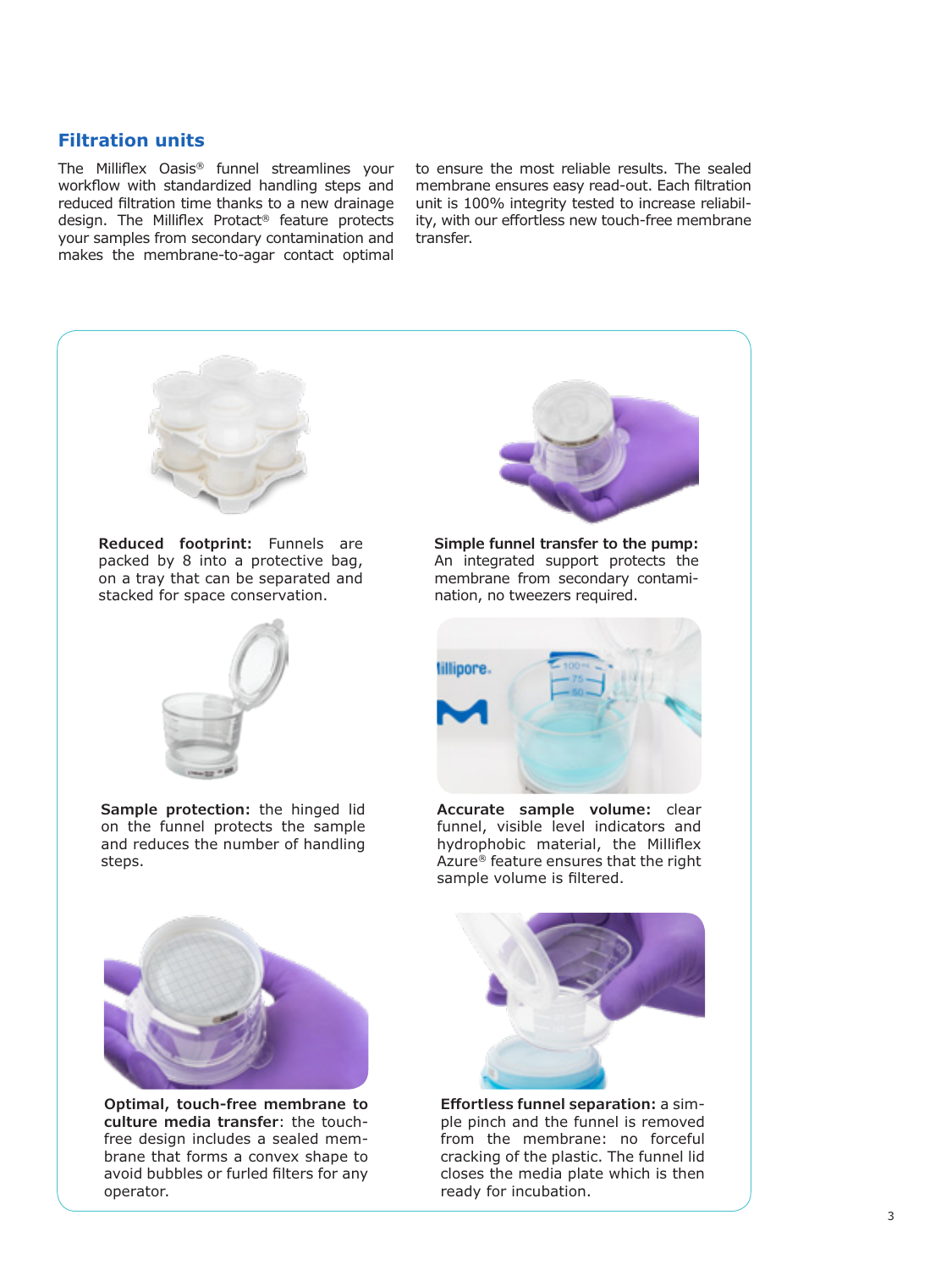### **Filtration units**

The Milliflex Oasis® funnel streamlines your workflow with standardized handling steps and reduced filtration time thanks to a new drainage design. The Milliflex Protact® feature protects your samples from secondary contamination and makes the membrane-to-agar contact optimal

to ensure the most reliable results. The sealed membrane ensures easy read-out. Each filtration unit is 100% integrity tested to increase reliability, with our effortless new touch-free membrane transfer.



**Reduced footprint:** Funnels are packed by 8 into a protective bag, on a tray that can be separated and stacked for space conservation.



**Sample protection:** the hinged lid on the funnel protects the sample and reduces the number of handling steps.



**Optimal, touch-free membrane to culture media transfer**: the touchfree design includes a sealed membrane that forms a convex shape to avoid bubbles or furled filters for any operator.



**Simple funnel transfer to the pump:** An integrated support protects the membrane from secondary contamination, no tweezers required.



**Accurate sample volume:** clear funnel, visible level indicators and hydrophobic material, the Milliflex Azure® feature ensures that the right sample volume is filtered.



**Effortless funnel separation:** a simple pinch and the funnel is removed from the membrane: no forceful cracking of the plastic. The funnel lid closes the media plate which is then ready for incubation.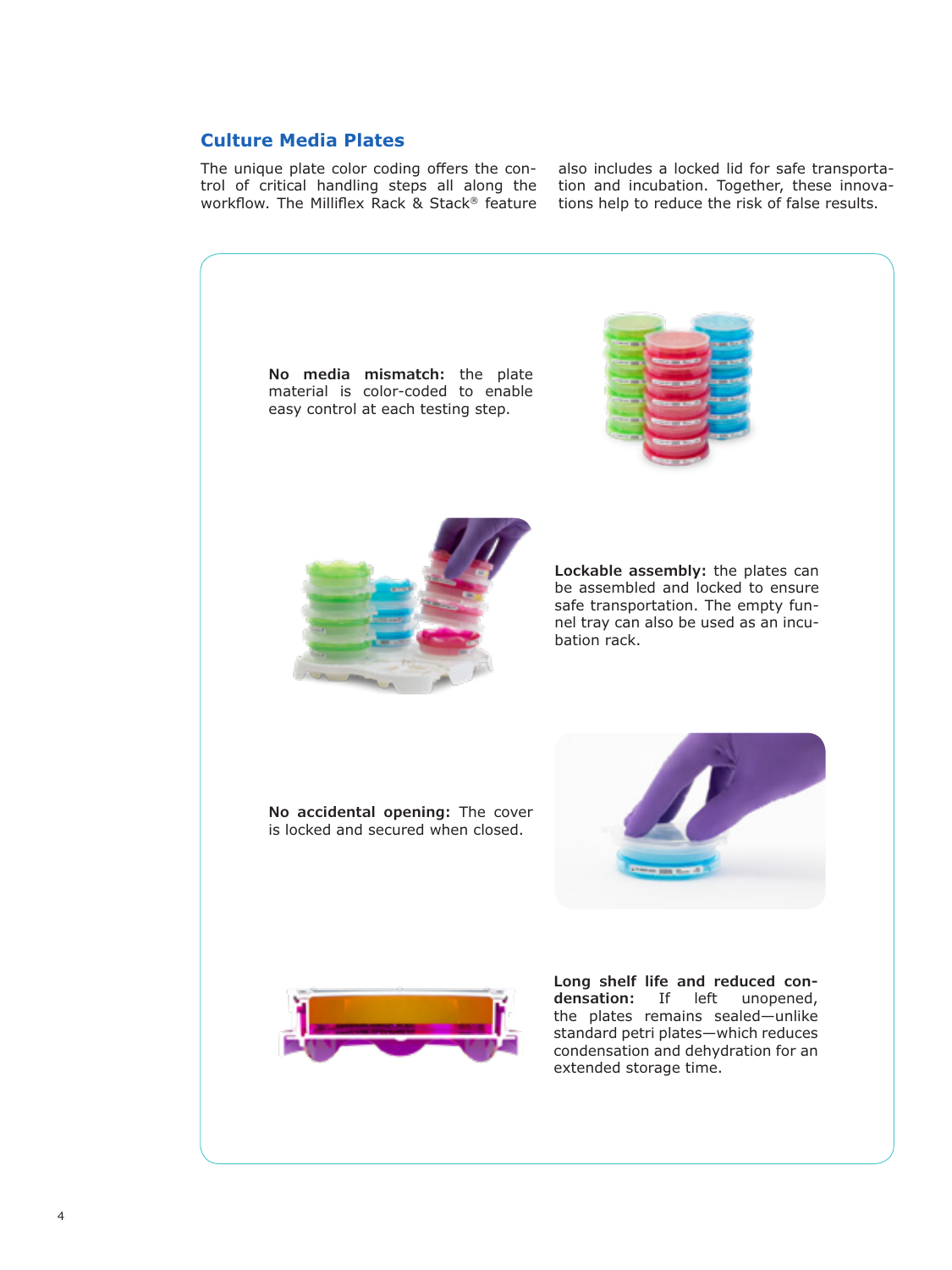# **Culture Media Plates**

The unique plate color coding offers the control of critical handling steps all along the workflow. The Milliflex Rack & Stack® feature also includes a locked lid for safe transportation and incubation. Together, these innovations help to reduce the risk of false results.

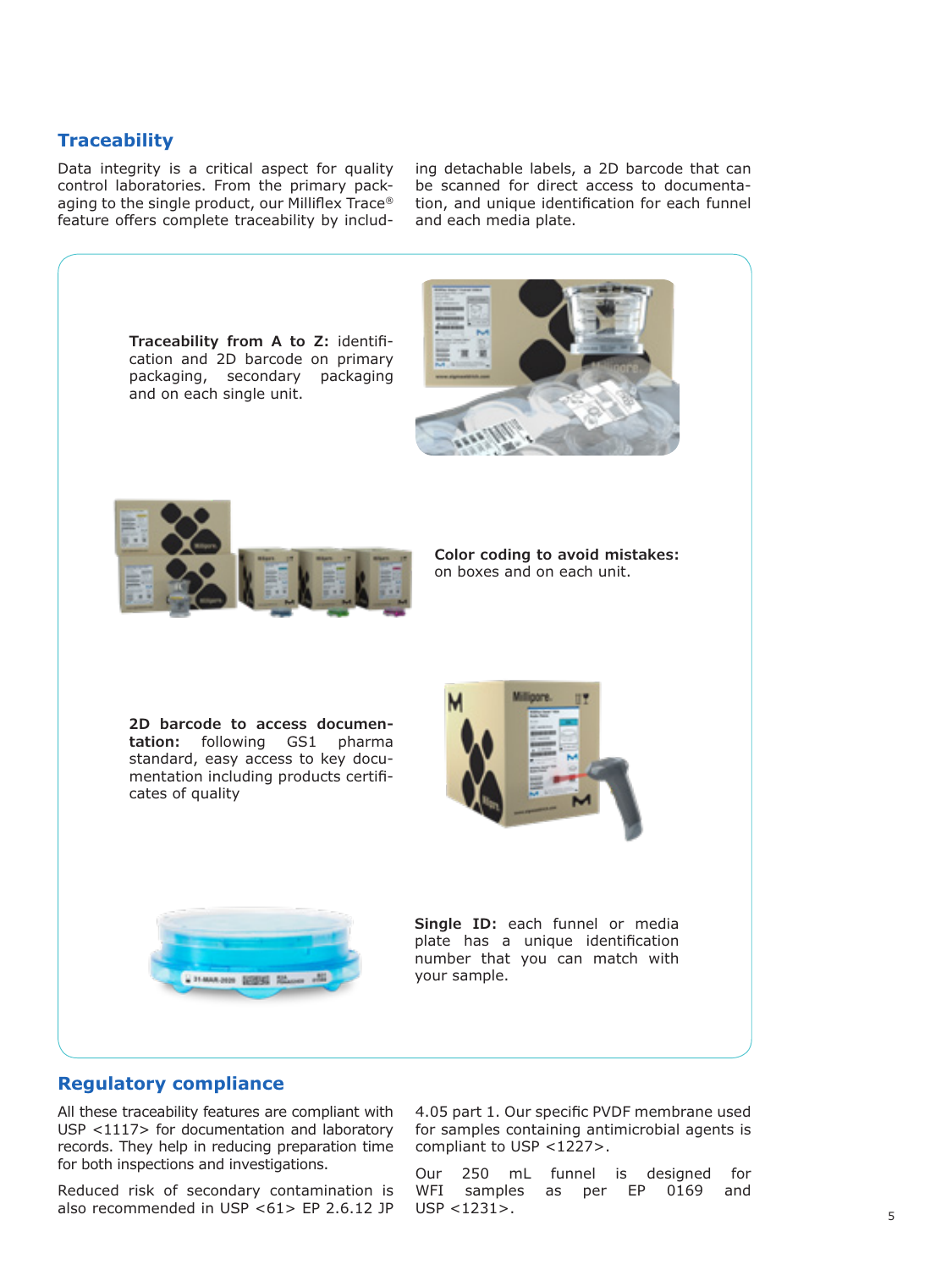# **Traceability**

Data integrity is a critical aspect for quality control laboratories. From the primary packaging to the single product, our Milliflex Trace® feature offers complete traceability by including detachable labels, a 2D barcode that can be scanned for direct access to documentation, and unique identification for each funnel and each media plate.



**Traceability from A to Z:** identifi-

**Color coding to avoid mistakes:** on boxes and on each unit.

**2D barcode to access documentation:** following GS1 pharma standard, easy access to key documentation including products certificates of quality





**Single ID:** each funnel or media plate has a unique identification number that you can match with your sample.

#### **Regulatory compliance**

All these traceability features are compliant with USP <1117> for documentation and laboratory records. They help in reducing preparation time for both inspections and investigations.

Reduced risk of secondary contamination is also recommended in USP <61> EP 2.6.12 JP 4.05 part 1. Our specific PVDF membrane used for samples containing antimicrobial agents is compliant to USP <1227>.

Our 250 mL funnel is designed for WFI samples as per EP 0169 and USP <1231>.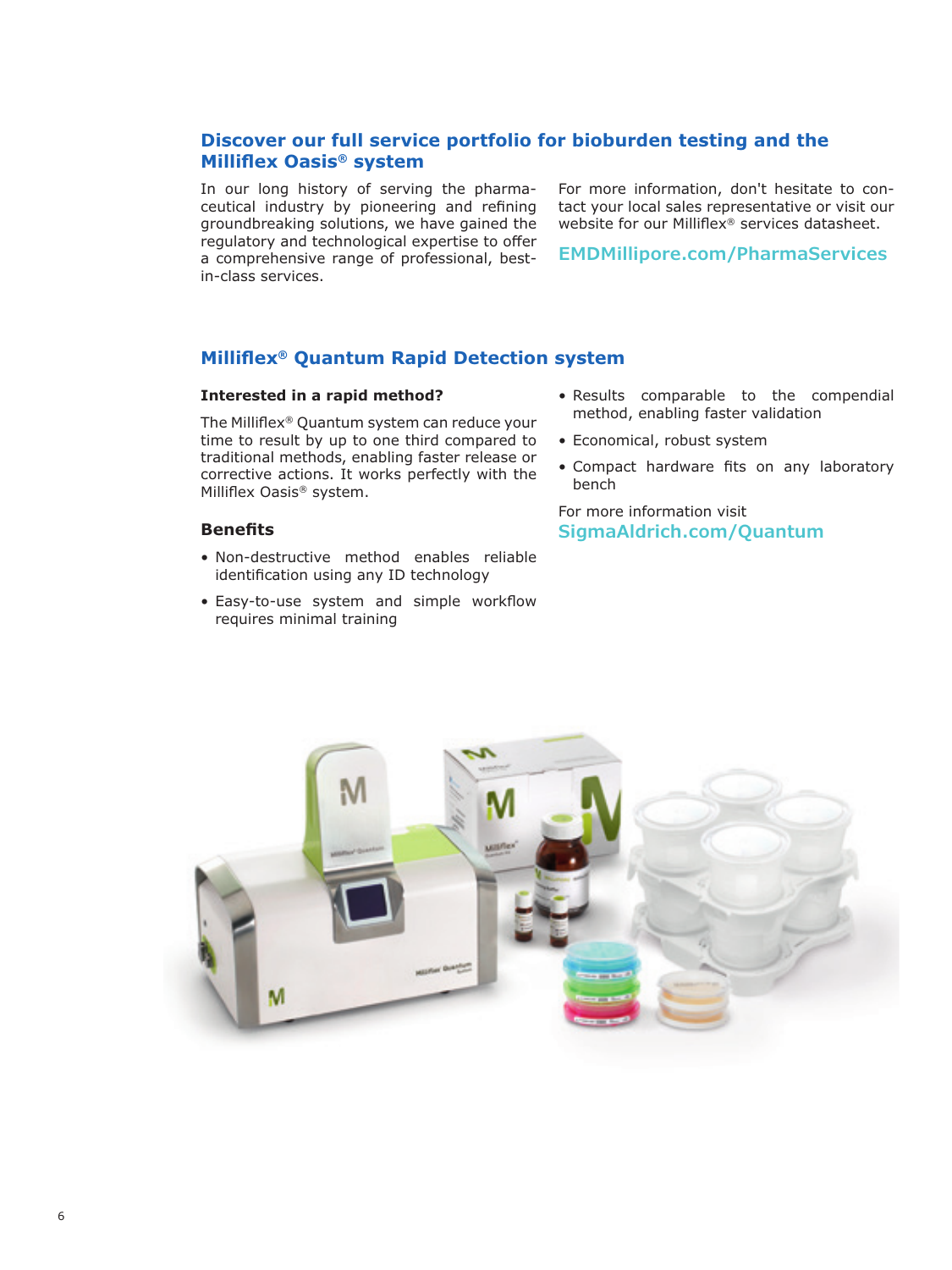# **Discover our full service portfolio for bioburden testing and the Milliflex Oasis® system**

In our long history of serving the pharmaceutical industry by pioneering and refining groundbreaking solutions, we have gained the regulatory and technological expertise to offer a comprehensive range of professional, bestin-class services.

For more information, don't hesitate to contact your local sales representative or visit our website for our Milliflex® services datasheet.

**[EMDMillipore.com/PharmaServices](http://EMDMillipore.com/PharmaServices)**

# **Milliflex® Quantum Rapid Detection system**

#### **Interested in a rapid method?**

The Milliflex® Quantum system can reduce your time to result by up to one third compared to traditional methods, enabling faster release or corrective actions. It works perfectly with the Milliflex Oasis® system.

#### **Benefits**

- Non-destructive method enables reliable identification using any ID technology
- Easy-to-use system and simple workflow requires minimal training
- Results comparable to the compendial method, enabling faster validation
- Economical, robust system
- Compact hardware fits on any laboratory bench

For more information visit **[SigmaAldrich.com/Quantum](http://SigmaAldrich.com/Quantum)**

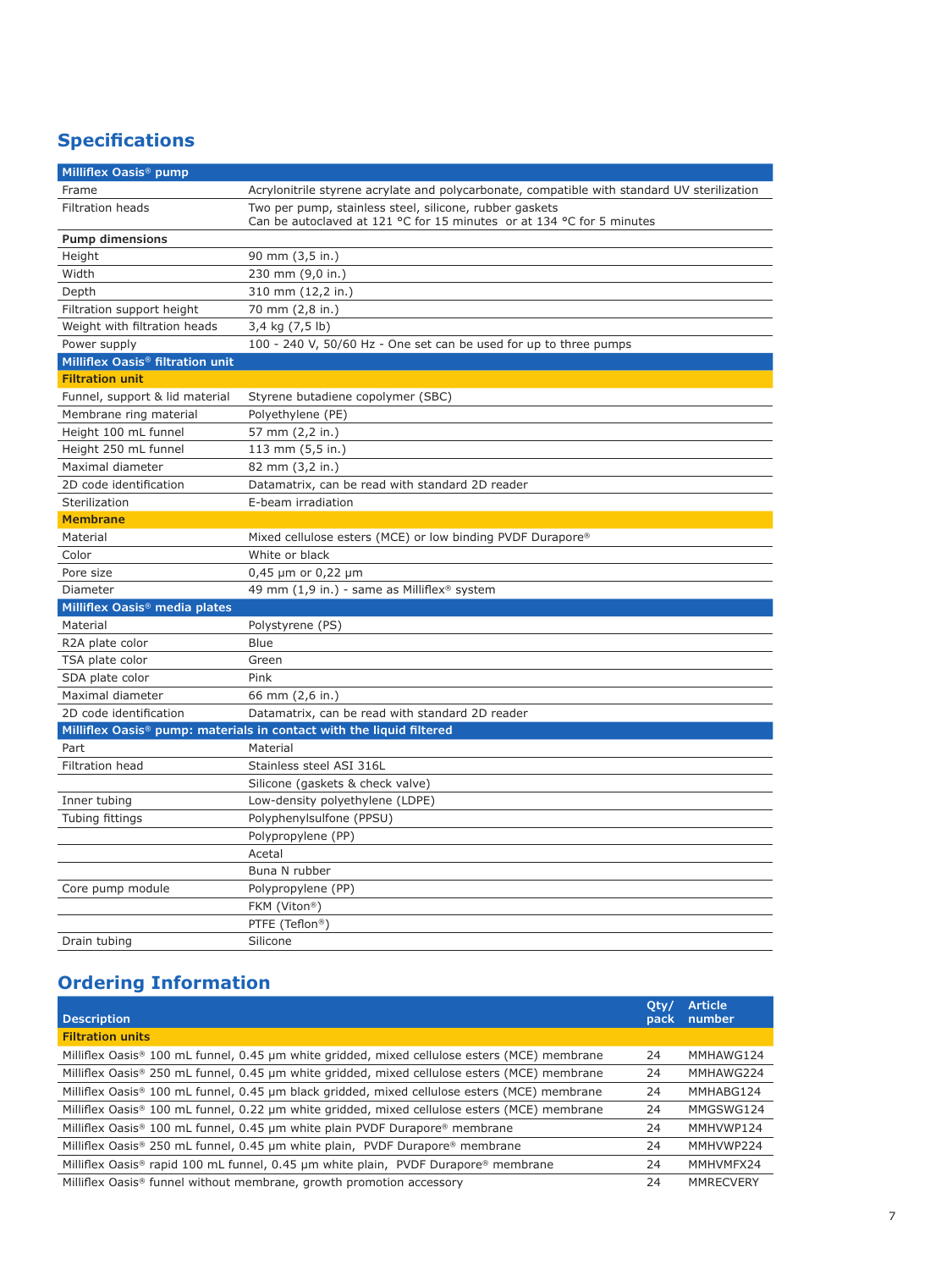# **Specifications**

| Milliflex Oasis <sup>®</sup> pump            |                                                                                                                                                    |
|----------------------------------------------|----------------------------------------------------------------------------------------------------------------------------------------------------|
| Frame                                        | Acrylonitrile styrene acrylate and polycarbonate, compatible with standard UV sterilization                                                        |
| Filtration heads                             | Two per pump, stainless steel, silicone, rubber gaskets<br>Can be autoclaved at 121 $\degree$ C for 15 minutes or at 134 $\degree$ C for 5 minutes |
| <b>Pump dimensions</b>                       |                                                                                                                                                    |
| Height                                       | 90 mm (3,5 in.)                                                                                                                                    |
| Width                                        | 230 mm (9,0 in.)                                                                                                                                   |
| Depth                                        | 310 mm (12,2 in.)                                                                                                                                  |
| Filtration support height                    | 70 mm (2,8 in.)                                                                                                                                    |
| Weight with filtration heads                 | 3,4 kg (7,5 lb)                                                                                                                                    |
| Power supply                                 | 100 - 240 V, 50/60 Hz - One set can be used for up to three pumps                                                                                  |
| Milliflex Oasis <sup>®</sup> filtration unit |                                                                                                                                                    |
| <b>Filtration unit</b>                       |                                                                                                                                                    |
| Funnel, support & lid material               | Styrene butadiene copolymer (SBC)                                                                                                                  |
| Membrane ring material                       | Polyethylene (PE)                                                                                                                                  |
| Height 100 mL funnel                         | 57 mm (2,2 in.)                                                                                                                                    |
| Height 250 mL funnel                         | 113 mm (5,5 in.)                                                                                                                                   |
| Maximal diameter                             | 82 mm (3,2 in.)                                                                                                                                    |
| 2D code identification                       | Datamatrix, can be read with standard 2D reader                                                                                                    |
| Sterilization                                | E-beam irradiation                                                                                                                                 |
| <b>Membrane</b>                              |                                                                                                                                                    |
| Material                                     | Mixed cellulose esters (MCE) or low binding PVDF Durapore <sup>®</sup>                                                                             |
| Color                                        | White or black                                                                                                                                     |
| Pore size                                    | $0,45 \mu m$ or $0,22 \mu m$                                                                                                                       |
| Diameter                                     | 49 mm (1,9 in.) - same as Milliflex <sup>®</sup> system                                                                                            |
| Milliflex Oasis <sup>®</sup> media plates    |                                                                                                                                                    |
| Material                                     | Polystyrene (PS)                                                                                                                                   |
| R2A plate color                              | Blue                                                                                                                                               |
| TSA plate color                              | Green                                                                                                                                              |
| SDA plate color                              | Pink                                                                                                                                               |
| Maximal diameter                             | 66 mm (2,6 in.)                                                                                                                                    |
| 2D code identification                       | Datamatrix, can be read with standard 2D reader                                                                                                    |
|                                              | Milliflex Oasis <sup>®</sup> pump: materials in contact with the liquid filtered                                                                   |
| Part                                         | Material                                                                                                                                           |
| <b>Filtration head</b>                       | Stainless steel ASI 316L                                                                                                                           |
|                                              | Silicone (gaskets & check valve)                                                                                                                   |
| Inner tubing                                 | Low-density polyethylene (LDPE)                                                                                                                    |
| Tubing fittings                              | Polyphenylsulfone (PPSU)                                                                                                                           |
|                                              | Polypropylene (PP)                                                                                                                                 |
|                                              | Acetal                                                                                                                                             |
|                                              | Buna N rubber                                                                                                                                      |
| Core pump module                             | Polypropylene (PP)                                                                                                                                 |
|                                              | FKM (Viton®)                                                                                                                                       |
|                                              | PTFE (Teflon <sup>®</sup> )                                                                                                                        |
| Drain tubing                                 | Silicone                                                                                                                                           |

# **Ordering Information**

| <b>Description</b>                                                                                         | Oty<br>pack | <b>Article</b><br>number |
|------------------------------------------------------------------------------------------------------------|-------------|--------------------------|
| <b>Filtration units</b>                                                                                    |             |                          |
| Milliflex Oasis <sup>®</sup> 100 mL funnel, 0.45 µm white gridded, mixed cellulose esters (MCE) membrane   | 24          | MMHAWG124                |
| Milliflex Oasis® 250 mL funnel, 0.45 µm white gridded, mixed cellulose esters (MCE) membrane               | 24          | MMHAWG224                |
| Milliflex Oasis® 100 mL funnel, 0.45 µm black gridded, mixed cellulose esters (MCE) membrane               | 24          | MMHABG124                |
| Milliflex Oasis® 100 mL funnel, 0.22 µm white gridded, mixed cellulose esters (MCE) membrane               | 24          | MMGSWG124                |
| Milliflex Oasis <sup>®</sup> 100 mL funnel, 0.45 µm white plain PVDF Durapore <sup>®</sup> membrane        | 24          | MMHVWP124                |
| Milliflex Oasis® 250 mL funnel, 0.45 µm white plain, PVDF Durapore® membrane                               | 24          | MMHVWP224                |
| Milliflex Oasis <sup>®</sup> rapid 100 mL funnel, 0.45 µm white plain, PVDF Durapore <sup>®</sup> membrane | 24          | MMHVMFX24                |
| Milliflex Oasis <sup>®</sup> funnel without membrane, growth promotion accessory                           | 24          | MMRECVERY                |